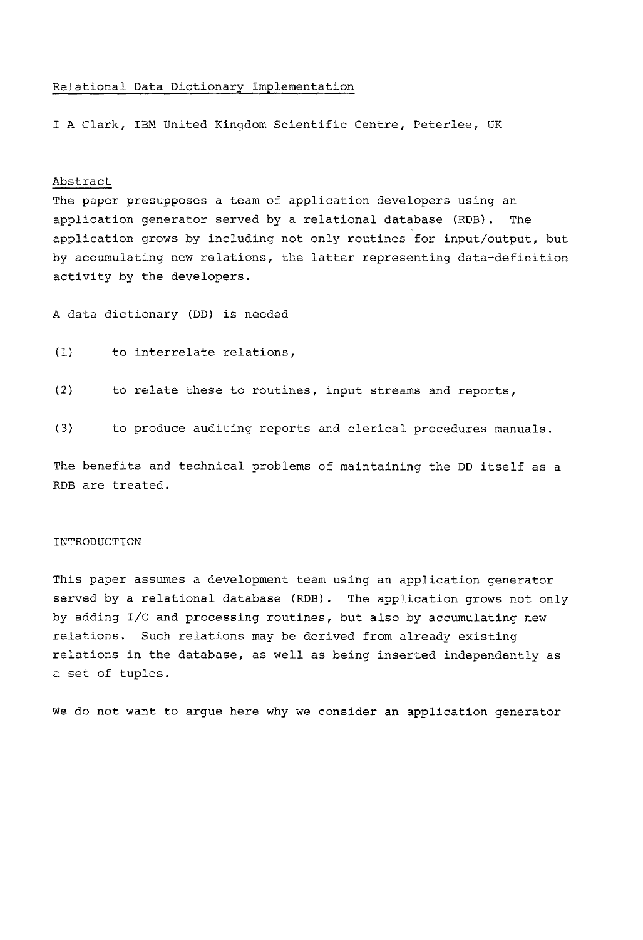### Relational Data Dictionary Implementation

I A Clark, IBM United Kingdom Scientific Centre, Peterlee, UK

### Abstract

The paper presupposes a team of application developers using an application generator served by a relational database (RDB). The application grows by including not only routines for input/output, but by accumulating new relations, the latter representing data-definition activity by the developers.

A data dictionary (DD) is needed

- (I) to interrelate relations,
- (2) to relate these to routines, input streams and reports,
- (3) to produce auditing reports and clerical procedures manuals.

The benefits and technical problems of maintaining the DD itself as a RDB are treated.

#### INTRODUCTION

This paper assumes a development team using an application generator served by a relational database (RDB). The application grows not only by adding I/O and processing routines, but also by accumulating new relations. Such relations may be derived from already existing relations in the database, as well as being inserted independently as a set of tuples.

We do not want to argue here why we consider an application generator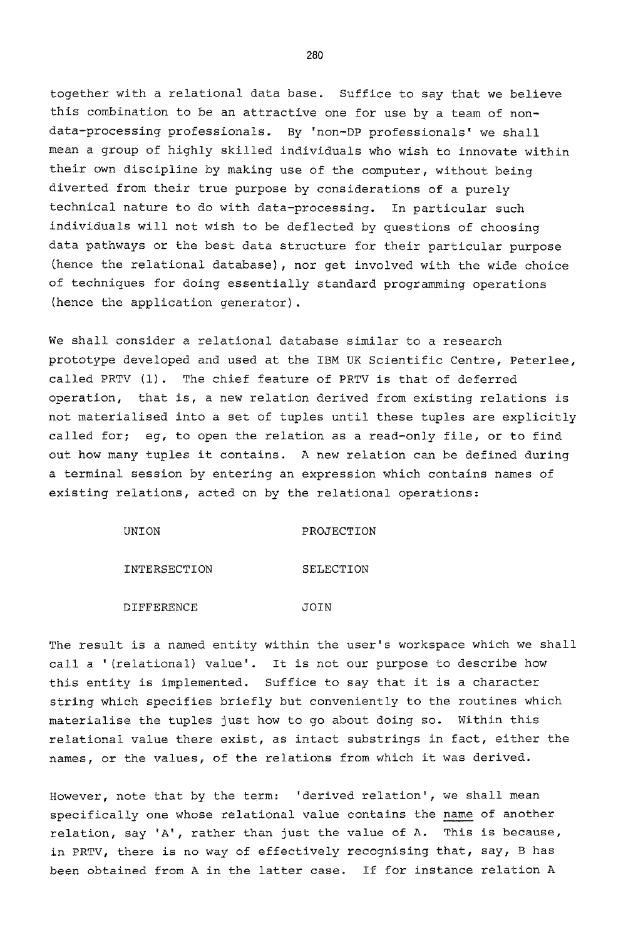together with a relational data base. Suffice to say that we believe this combination to be an attractive one for use by a team of nondata-processing professionals. By "non-DP professionals' we shall mean a group of highly skilled individuals who wish to innovate within their own discipline by making use of the computer, without being diverted from their true purpose by considerations of a purely technical nature to do with data-processing. In particular such individuals will not wish to be deflected by questions of choosing data pathways or the best data structure for their particular purpose (hence the relational database), nor get involved with the wide choice of techniques for doing essentially standard programming operations (hence the application generator).

We shall consider a relational database similar to a research prototype developed and used at the IBM UK Scientific Centre, Peterlee, called PRTV (1). The chief feature of PRTV is that of deferred operation, that is, a new relation derived from existing relations is not materialised into a set of tuples until these tuples are explicitly called for; eg, to open the relation as a read-only file, or to find out how many tuples it contains. A new relation can be defined during a terminal session by entering an expression which contains names of existing relations, acted on by the relational operations:

> UNION PROJECTION INTERSECTION SELECTION

DIFFERENCE JOIN

The result is a named entity within the user's workspace which we shall call a ' (relational) value'. It is not our purpose to describe how this entity is implemented. Suffice to say that it is a character string which specifies briefly but conveniently to the routines which materialise the tuples just how to go about doing so. Within this relational value there exist, as intact substrings in fact, either the names, or the values, of the relations from which it was derived.

However, note that by the term: 'derived relation', we shall mean specifically one whose relational value contains the name of another relation, say 'A', rather than just the value of A. This is because, in PRTV, there is no way of effectively recognising that, say, B has been obtained from A in the latter case. If for instance relation A

280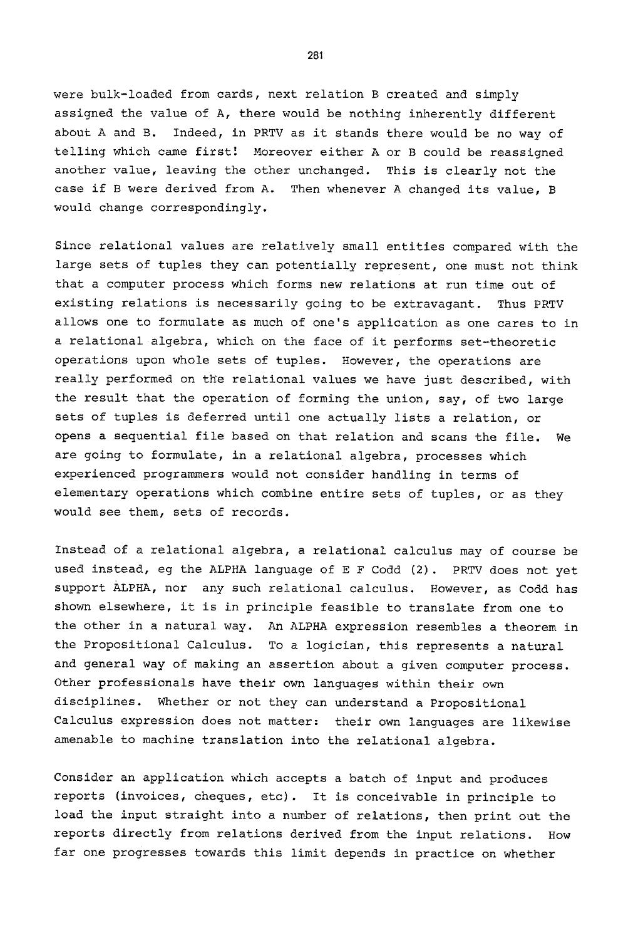were bulk-loaded from cards, next relation B created and simply assigned the value of A, there would be nothing inherently different about A and B. Indeed, in PRTV as it stands there would be no way of telling which came first! Moreover either A or B could be reassigned another value, leaving the other unchanged. This is clearly not the case if B were derived from A. Then whenever A changed its value, B would change correspondingly.

Since relational values are relatively small entities compared with the large sets of tuples they can potentially represent, one must not think that a computer process which forms new relations at run time out of existing relations is necessarily going to be extravagant. Thus PRTV allows one to formulate as much of one's application as one cares to in a relational algebra, which on the face of it performs set-theoretic operations upon whole sets of tuples. However, the operations are really performed on the relational values we have just described, with the result that the operation of forming the union, say, of two large sets of tuples is deferred until one actually lists a relation, or opens a sequential file based on that relation and scans the file. We are going to formulate, in a relational algebra, processes which experienced programmers would not consider handling in terms of elementary operations which combine entire sets of tuples, or as they would see them, sets of records.

Instead of a relational algebra, a relational calculus may of course be used instead, eg the ALPHA language of E F Codd (2). PRTV does not yet support ALPHA, nor any such relational calculus. However, as Codd has shown elsewhere, it is in principle feasible to translate from one to the other in a natural way. An ALPHA expression resembles a theorem in the Propositional Calculus. To a logician, this represents a natural and general way of making an assertion about a given computer process. Other professionals have their own languages within their own disciplines. Whether or not they can understand a Propositional Calculus expression does not matter: their own languages are likewise amenable to machine translation into the relational algebra.

Consider an application which accepts a batch of input and produces reports (invoices, cheques, etc). It is conceivable in principle to load the input straight into a number of relations, then print out the reports directly from relations derived from the input relations. How far one progresses towards this limit depends in practice on whether

28I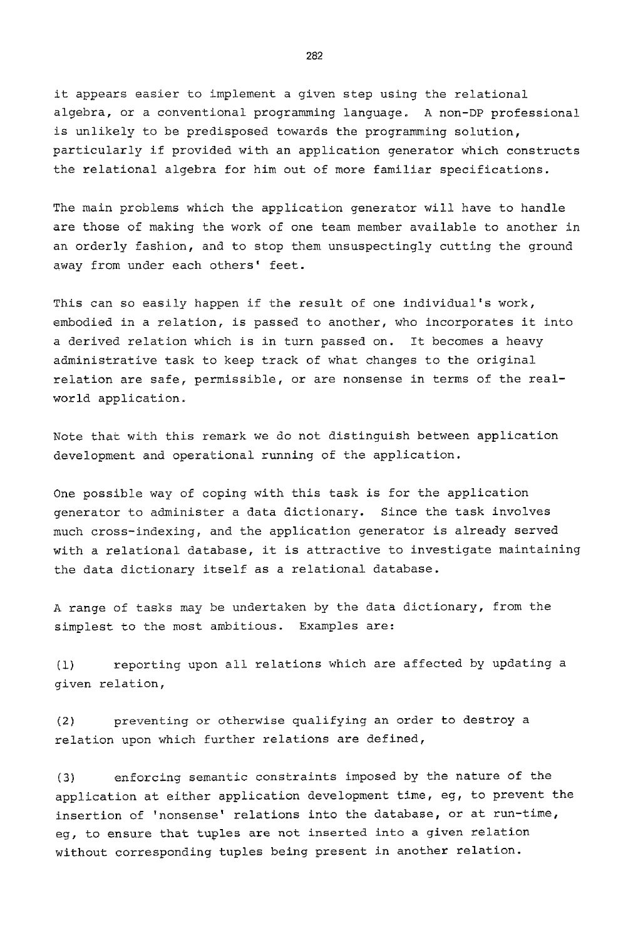it appears easier to implement a given step using the relational algebra, or a conventional programming language. A non-DP professional is unlikely to be predisposed towards the programming solution, particularly if provided with an application generator which constructs the relational algebra for him out of more familiar specifications.

The main problems which the application generator will have to handle are those of making the work of one team member available to another in an orderly fashion, and to stop them unsuspectingly cutting the ground away from under each others' feet.

This can so easily happen if the result of one individual's work, embodied in a relation, is passed to another, who incorporates it into a derived relation which is in turn passed on. It becomes a heavy administrative task to keep track of what changes to the original relation are safe, permissible, or are nonsense in terms of the realworld application.

Note that with this remark we do not distinguish between application development and operational running of the application.

One possible way of coping with this task is for the application generator to administer a data dictionary. Since the task involves much cross-indexing, and the application generator is already served with a relational database, it is attractive to investigate maintaining the data dictionary itself as a relational database.

A range of tasks may be undertaken by the data dictionary, from the simplest to the most ambitious. Examples are:

(1) reporting upon all relations which are affected by updating a given relation,

(2) preventing or otherwise qualifying an order to destroy a relation upon which further relations are defined,

(3) enforcing semantic constraints imposed by the nature of the application at either application development time, eg, to prevent the insertion of 'nonsense' relations into the database, or at run-time, eg, to ensure that tuples are not inserted into a given relation without corresponding tuples being present in another relation.

282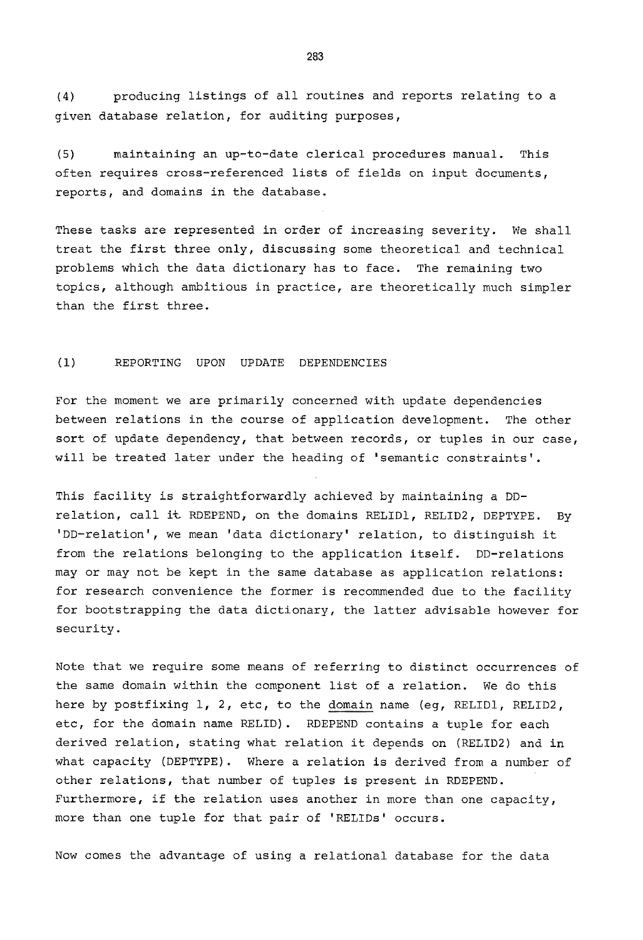(4) producing listings of all routines and reports relating to a given database relation, for auditing purposes,

(5) maintaining an up-to-date clerical procedures manual. This often requires cross-referenced lists of fields on input documents, reports, and domains in the database.

These tasks are represented in order of increasing severity. We shall treat the first three only, discussing some theoretical and technical problems which the data dictionary has to face. The remaining two topics, although ambitious in practice, are theoretically much simpler than the first three.

### (1) REPORTING UPON UPDATE DEPENDENCIES

For the moment we are primarily concerned with update dependencies between relations in the course of application development. The other sort of update dependency, that between records, or tuples in our case, will be treated later under the heading of 'semantic constraints'

This facility is straightforwardly achieved by maintaining a DDrelation, call it RDEPEND, on the domains RELID1, RELID2, DEPTYPE. By 'DD-relation', we mean 'data dictionary' relation, to distinguish it from the relations belonging to the application itself. DD-relations may or may not be kept in the same database as application relations: for research convenience the former is recommended due to the facility for bootstrapping the data dictionary, the latter advisable however for security.

Note that we require some means of referring to distinct occurrences of the same domain within the component list of a relation. We do this here by postfixing i, 2, etc, to the domain name (eg, RELIDI, RELID2, etc, for the domain name RELID). RDEPEND contains a tuple for each derived relation, stating what relation it depends on (RELID2) and in what capacity (DEPTYPE). Where a relation is derived from a number of other relations, that number of tuples is present in RDEPEND. Furthermore, if the relation uses another in more than one capacity, more than one tuple for that pair of 'RELIDs' Occurs.

Now comes the advantage of using a relational database for the data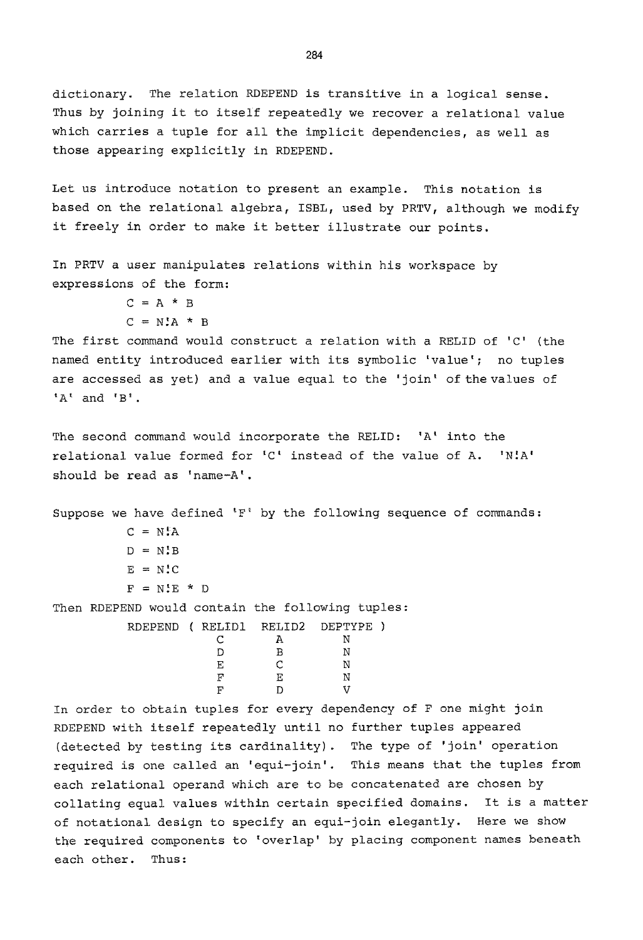dictionary. The relation RDEPEND is transitive in a logical sense. Thus by joining it to itself repeatedly we recover a relational value which carries a tuple for all the implicit dependencies, as well as those appearing explicitly in RDEPEND.

Let us introduce notation to present an example. This notation is based on the relational algebra, ISBL, used by PRTV, although we modify it freely in order to make it better illustrate our points.

In PRTV a user manipulates relations within his workspace by expressions of the form:

```
C = A * BC = N!A * B
```
The first command would construct a relation with a RELID of 'C' (the named entity introduced earlier with its symbolic 'value'; no tuples are accessed as yet) and a value equal to the 'join' of the values of  $'A<sup>t</sup>$  and  $'B<sup>t</sup>$ .

The second command would incorporate the RELID: 'A' into the relational value formed for 'C' instead of the value of A. 'N'A' should be read as 'name-A'.

Suppose we have defined 'F' by the following sequence of commands:  $C = N<sup>T</sup>A$  $D = N:B$  $E = N!C$  $F = N.E * D$ Then RDEPEND would contain the following tuples: RDEPEND ( RELIDI RELID2 DEPTYPE )

| C | Α | N  |
|---|---|----|
| D | R | N  |
| E | C | N  |
| P | Ε | N  |
| F | D | ۲7 |

In order to obtain tuples for every dependency of F one might join RDEPEND with itself repeatedly until no further tuples appeared (detected by testing its cardinality). The type of 'join' operation required is one called an 'equi-join'. This means that the tuples from each relational operand which are to be concatenated are chosen by collating equal values within certain specified domains. It is a matter of notational design to specify an equi-join elegantly. Here we show the required components to 'overlap' by placing component names beneath each other. Thus: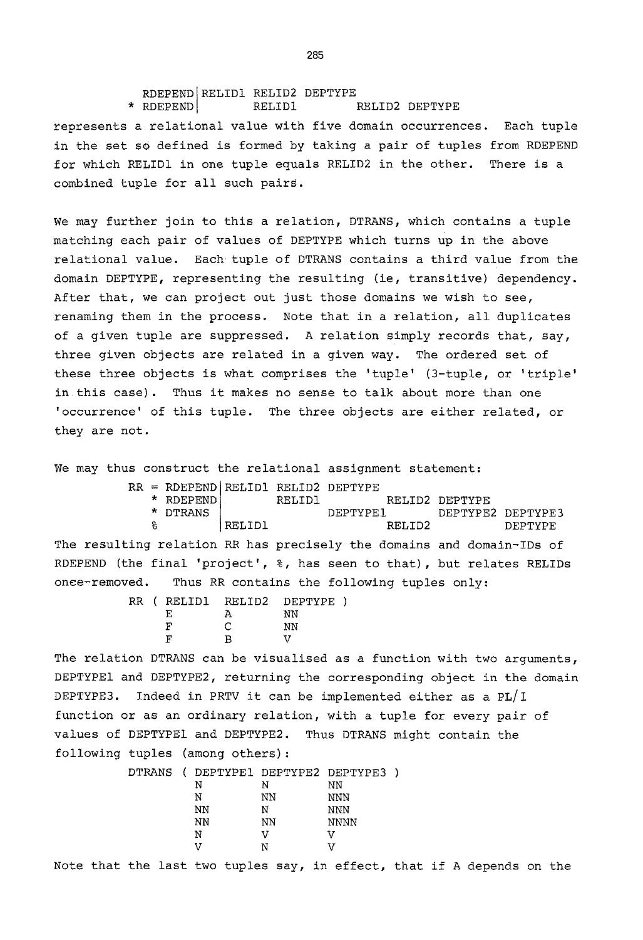RDEPEND RELID1 RELID2 DEPTYPE<br>\* RDEPEND RELID1 RELID1 RELID2 DEPTYPE

represents a relational value with five domain occurrences. Each tuple in the set so defined is formed by taking a pair of tuples from RDEPEND for which RELIDI in one tuple equals RELID2 in the other. There is a combined tuple for all such pairs.

We may further join to this a relation, DTRANS, which contains a tuple matching each pair of values of DEPTYPE which turns up in the above relational value. Each tuple of DTRANS contains a third value from the domain DEPTYPE, representing the resulting (ie, transitive) dependency. After that, we can project out just those domains we wish to see, renaming them in the process. Note that in a relation, all duplicates of a given tuple are suppressed. A relation simply records that, say, three given objects are related in a given way. The ordered set of these three objects is what comprises the 'tuple' (3-tuple, or 'triple' in this case). Thus it makes no sense to talk about more than one 'occurrence' of this tuple. The three objects are either related, or they are not.

We may thus construct the relational assignment statement:

| * RDEPEND                                                              | $RR = RDEPEND RELID1 RELID2 DEPTYPE$<br>RELIDI | DEPTYPE1 DEPTYPE2 DEPTYPE3 | RELID2 DEPTYPE |         |
|------------------------------------------------------------------------|------------------------------------------------|----------------------------|----------------|---------|
|                                                                        | $\frac{*}{*}$ DTRANS $\Bigg $ RELID1           | RELID2                     |                | DEPTYPE |
| The resulting relation RR has precisely the domains and domain-IDs of  |                                                |                            |                |         |
| RDEPEND (the final 'project', %, has seen to that), but relates RELIDs |                                                |                            |                |         |

once-removed. Thus RR contains the following tuples only:

|  |     |   | RR ( RELID1  RELID2  DEPTYPE ) |  |
|--|-----|---|--------------------------------|--|
|  | F.  |   | NN                             |  |
|  | ᠷ   |   | ΝN                             |  |
|  | ਸ਼ਾ | в |                                |  |

The relation DTRANS can be visualised as a function with two arguments, DEPTYPEI and DEPTYPE2, returning the corresponding object in the domain DEPTYPE3. Indeed in PRTV it can be implemented either as a  $PL/I$ function or as an ordinary relation, with a tuple for every pair of values of DEPTYPEI and DEPTYPE2. Thus DTRANS might contain the following tuples (among others):

|  |    |    | DTRANS ( DEPTYPEl DEPTYPE2 DEPTYPE3 ) |  |
|--|----|----|---------------------------------------|--|
|  | N  | N  | ΝN                                    |  |
|  | N  | ΝN | NNN                                   |  |
|  | NN | N  | <b>NNN</b>                            |  |
|  | NΝ | ΝN | <b>NNNN</b>                           |  |
|  | N  | V  |                                       |  |
|  | ۲7 | N  |                                       |  |

Note that the last two tuples say, in effect, that if A depends on the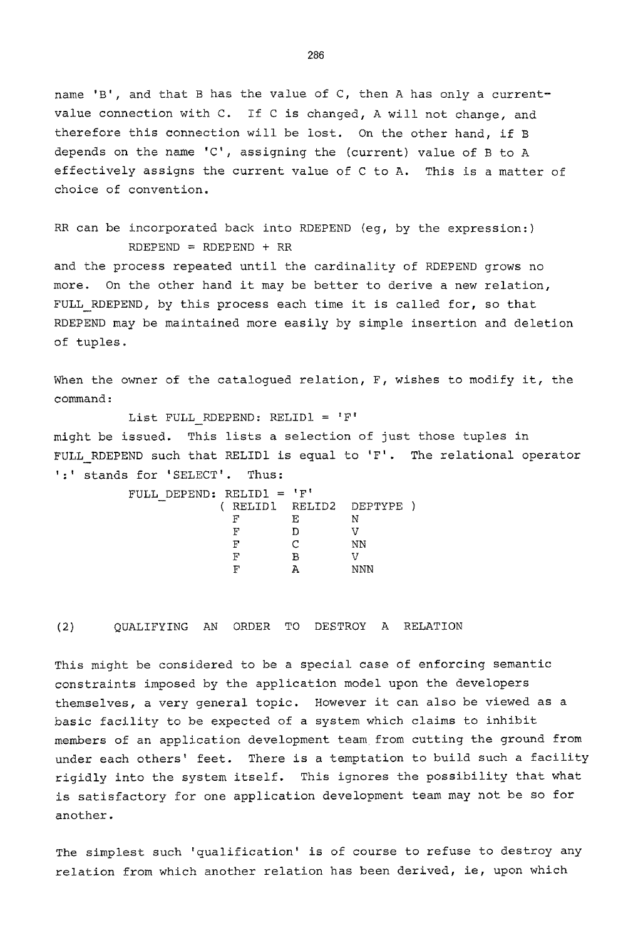name 'B', and that B has the value of C, then A has only a currentvalue connection with C. If C is changed, A will not change, and therefore this connection will be lost. On the other hand, if B depends on the name 'C', assigning the (current) value of B to A effectively assigns the current value of C to A. This is a matter of choice of convention.

```
RR can be incorporated back into RDEPEND (eg, by the expression:) 
          RDEPEND = RDEPEND + RRand the process repeated until the cardinality of RDEPEND grows no 
more. On the other hand it may be better to derive a new relation,
FULL RDEPEND, by this process each time it is called for, so that
RDEPEND may be maintained more easily by simple insertion and deletion 
of tuples.
```
When the owner of the catalogued relation, F, wishes to modify it, the command:

List FULL RDEPEND: RELID1 =  $'F'$ might be issued. This lists a selection of just those tuples in FULL RDEPEND such that RELIDI is equal to 'F'. The relational operator ':' stands for 'SELECT'. Thus:

|  | ${\tt FULL\ DEPEND: \ RELID1 = 'F'}$ |   |                         |  |
|--|--------------------------------------|---|-------------------------|--|
|  |                                      |   | (RELID1 RELID2 DEPTYPE) |  |
|  | F                                    | E |                         |  |
|  | F                                    |   |                         |  |
|  | F                                    |   | NΝ                      |  |
|  | π                                    | R |                         |  |
|  | F                                    |   | NNN                     |  |
|  |                                      |   |                         |  |

(2) QUALIFYING AN ORDER TO DESTROY A RELATION

This might be considered to be a special case of enforcing semantic constraints imposed by the application model upon the developers themselves, a very general topic. However it can also be viewed as a basic facility to be expected of a system which claims to inhibit members of an application development team from cutting the ground from under each others' feet. There is a temptation to build such a facility rigidly into the system itself. This ignores the possibility that what is satisfactory for one application development team may not be so for another.

The simplest such 'qualification' is of course to refuse to destroy any relation from which another relation has been derived, ie, upon which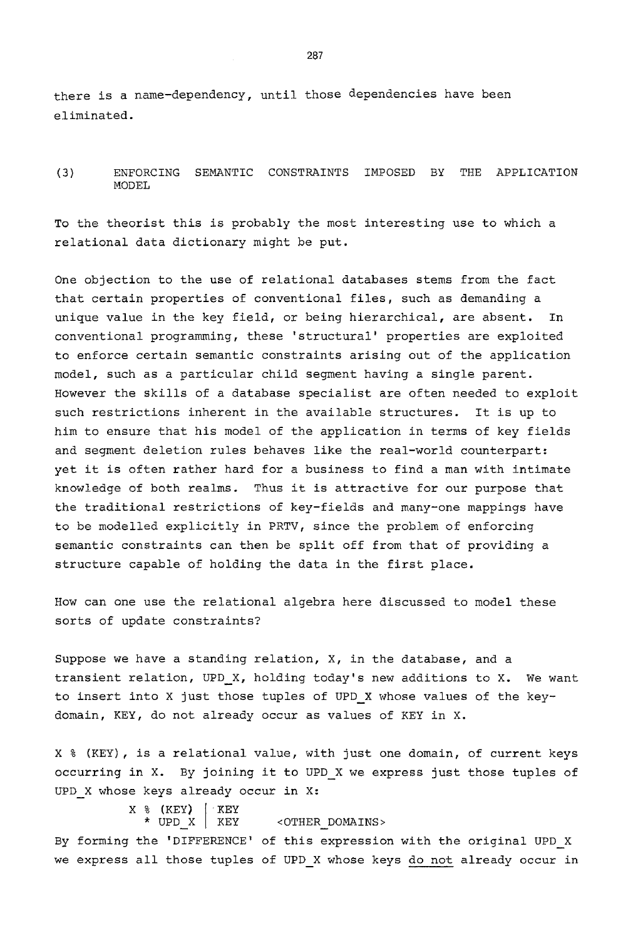there is a name-dependency, until those dependencies have been eliminated.

## (3) ENFORCING SEMANTIC CONSTRAINTS IMPOSED BY THE APPLICATION MODEL

To the theorist this is probably the most interesting use to which a relational data dictionary might be put.

One objection to the use of relational databases stems from the fact that certain properties of conventional files, such as demanding a unique value in the key field, or being hierarchical, are absent. In conventional programming, these 'structural' properties are exploited to enforce certain semantic constraints arising out of the application model, such as a particular child segment having a single parent. However the skills of a database specialist are often needed to exploit such restrictions inherent in the available structures. It is up to him to ensure that his model of the application in terms of key fields and segment deletion rules behaves like the real-world counterpart: yet it is often rather hard for a business to find a man with intimate knowledge of both realms. Thus it is attractive for our purpose that the traditional restrictions of key-fields and many-one mappings have to be modelled explicitly in PRTV, since the problem of enforcing semantic constraints can then be split off from that of providing a structure capable of holding the data in the first place.

How can one use the relational algebra here discussed to model these sorts of update constraints?

Suppose we have a standing relation, X, in the database, and a transient relation, UPD\_X, holding today's new additions to X. We want to insert into X just those tuples of UPD X whose values of the keydomain, KEY, do not already occur as values of KEY in X.

X % (KEY), is a relational value, with just one domain, of current keys occurring in X. By joining it to UPD X we express just those tuples of UPD X whose keys already occur in X:

X % (KEY) | KEY<br>\* UPD X | KEY

<OTHER DOMAINS>

By forming the 'DIFFERENCE' of this expression with the original UPD X we express all those tuples of UPD X whose keys do not already occur in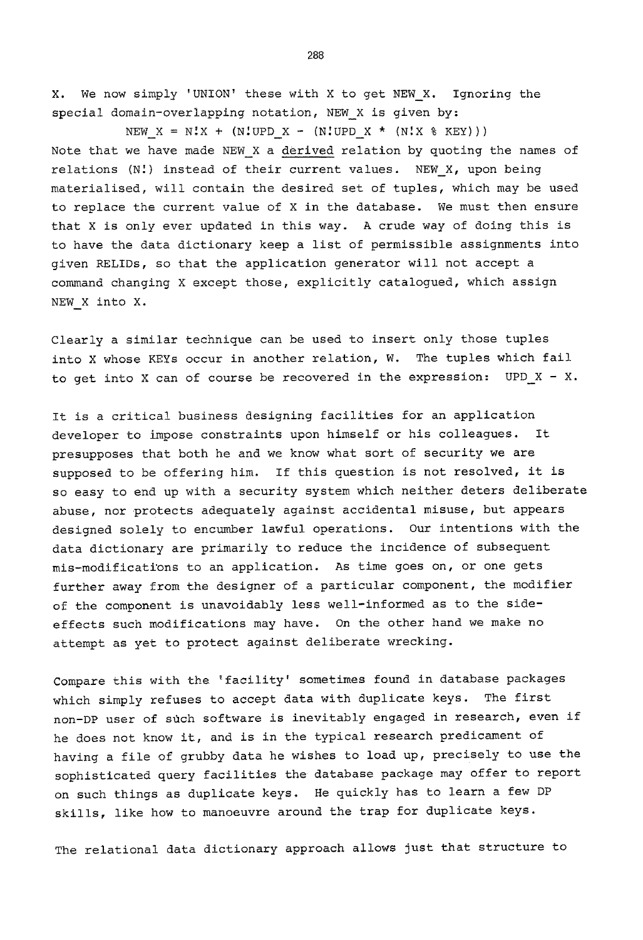X. We now simply 'UNION' these with X to get NEW X. Ignoring the <sup>m</sup> special domain-overlapping notation, NEW X is given by:

NEW  $X = N!X + (N!UPD X - (N!UPD X * (N!X 8 K EY)))$ Note that we have made NEW X a derived relation by quoting the names of relations (N:) instead of their current values. NEW\_X, upon being materialised, will contain the desired set of tuples, which may be used to replace the current value of X in the database. We must then ensure that X is only ever updated in this way. A crude way of doing this is to have the data dictionary keep a list of permissible assignments into given RELIDs, so that the application generator will not accept a command changing X except those, explicitly catalogued, which assign NEW X into X. <sup>m</sup>

Clearly a similar technique can be used to insert only those tuples into X whose KEYs occur in another relation, W. The tuples which fail to get into X can of course be recovered in the expression: UPD  $X - X$ .

It is a critical business designing facilities for an application developer to impose constraints upon himself or his colleagues. It presupposes that both he and we know what sort of security we are supposed to be offering him. If this question is not resolved, it is so easy to end up with a security system which neither deters deliberate abuse, nor protects adequately against accidental misuse, but appears designed solely to encumber lawful operations. Our intentions with the data dictionary are primarily to reduce the incidence of subsequent mis-modifications to an application. As time goes on, or one gets further away from the designer of a particular component, the modifier of the component is unavoidably less well-informed as to the sideeffects such modifications may have. On the other hand we make no attempt as yet to protect against deliberate wrecking.

Compare this with the 'facility' sometimes found in database packages which simply refuses to accept data with duplicate keys. The first non-DP user of such software is inevitably engaged in research, even if he does not know it, and is in the typical research predicament of having a file of grubby data he wishes to load up, precisely to use the sophisticated query facilities the database package may offer to report on such things as duplicate keys. He quickly has to learn a few DP skills, like how to manoeuvre around the trap for duplicate keys.

The relational data dictionary approach allows just that structure to

288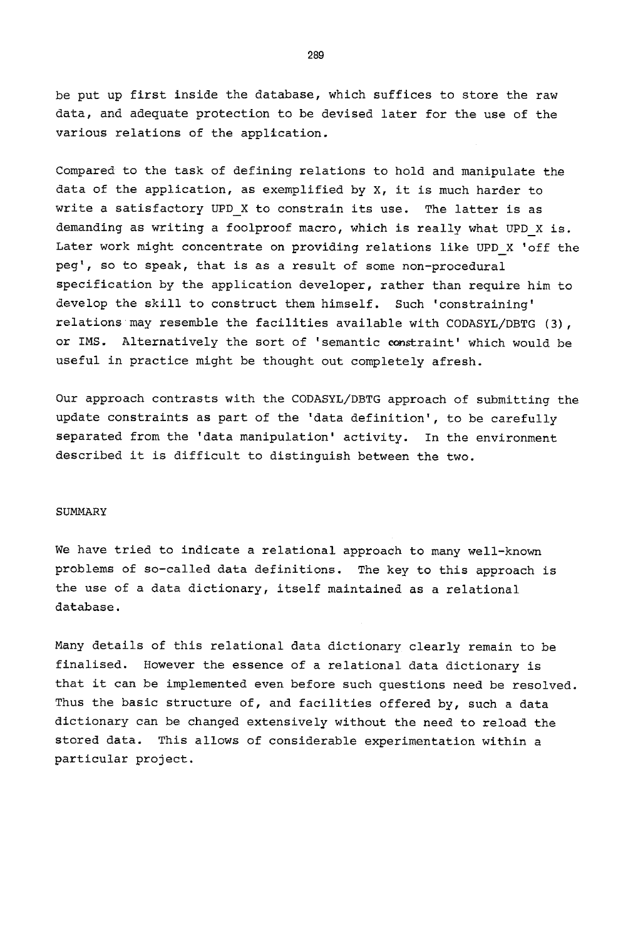be put up first inside the database, which suffices to store the raw data, and adequate protection to be devised later for the use of the various relations of the application.

Compared to the task of defining relations to hold and manipulate the data of the application, as exemplified by  $X$ , it is much harder to write a satisfactory UPD X to constrain its use. The latter is as demanding as writing a foolproof macro, which is really what UPD X is. Later work might concentrate on providing relations like UPD X 'off the peg', so to speak, that is as a result of some non-procedural specification by the application developer, rather than require him to develop the skill to construct them himself. Such 'constraining' relations may resemble the facilities available with CODASYL/DBTG (3), or IMS. Alternatively the sort of 'semantic constraint' which would be useful in practice might be thought out completely afresh.

Our approach contrasts with the CODASYL/DBTG approach of submitting the update constraints as part of the 'data definition', to be carefully separated from the 'data manipulation' activity. In the environment described it is difficult to distinguish between the two.

### SUMMARY

We have tried to indicate a relational approach to many well-known problems of so-called data definitions. The key to this approach is the use of a data dictionary, itself maintained as a relational database.

Many details of this relational data dictionary clearly remain to be finalised. However the essence of a relational data dictionary is that it can be implemented even before such questions need be resolved. Thus the basic structure of, and facilities offered by, such a data dictionary can be changed extensively without the need to reload the stored data. This allows of considerable experimentation within a particular project.